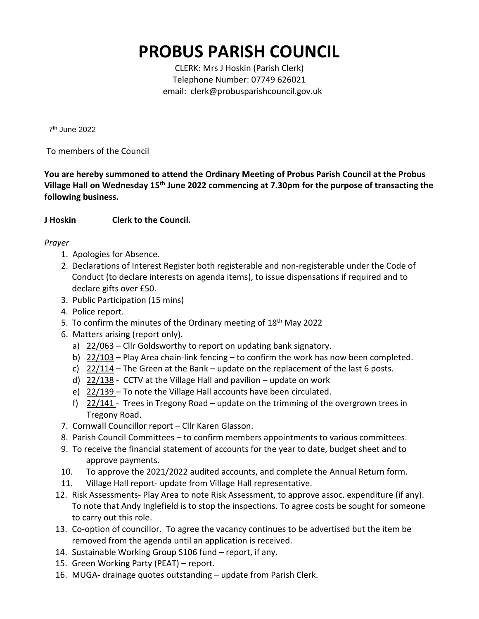## **PROBUS PARISH COUNCIL**

CLERK: Mrs J Hoskin (Parish Clerk) Telephone Number: 07749 626021 email: clerk@probusparishcouncil.gov.uk

7 th June 2022

To members of the Council

**You are hereby summoned to attend the Ordinary Meeting of Probus Parish Council at the Probus Village Hall on Wednesday 15 th June 2022 commencing at 7.30pm for the purpose of transacting the following business.**

## **J Hoskin Clerk to the Council.**

## *Prayer*

- 1. Apologies for Absence.
- 2. Declarations of Interest Register both registerable and non-registerable under the Code of Conduct (to declare interests on agenda items), to issue dispensations if required and to declare gifts over £50.
- 3. Public Participation (15 mins)
- 4. Police report.
- 5. To confirm the minutes of the Ordinary meeting of 18<sup>th</sup> May 2022
- 6. Matters arising (report only).
	- a)  $22/063$  Cllr Goldsworthy to report on updating bank signatory.
	- b) 22/103 Play Area chain-link fencing to confirm the work has now been completed.
	- c)  $22/114$  The Green at the Bank update on the replacement of the last 6 posts.
	- d) 22/138 CCTV at the Village Hall and pavilion update on work
	- e) 22/139 To note the Village Hall accounts have been circulated.
	- f)  $22/141$  Trees in Tregony Road update on the trimming of the overgrown trees in Tregony Road.
- 7. Cornwall Councillor report Cllr Karen Glasson.
- 8. Parish Council Committees to confirm members appointments to various committees.
- 9. To receive the financial statement of accounts for the year to date, budget sheet and to approve payments.
- 10. To approve the 2021/2022 audited accounts, and complete the Annual Return form.
- 11. Village Hall report- update from Village Hall representative.
- 12. Risk Assessments- Play Area to note Risk Assessment, to approve assoc. expenditure (if any). To note that Andy Inglefield is to stop the inspections. To agree costs be sought for someone to carry out this role.
- 13. Co-option of councillor. To agree the vacancy continues to be advertised but the item be removed from the agenda until an application is received.
- 14. Sustainable Working Group S106 fund report, if any.
- 15. Green Working Party (PEAT) report.
- 16. MUGA- drainage quotes outstanding update from Parish Clerk.